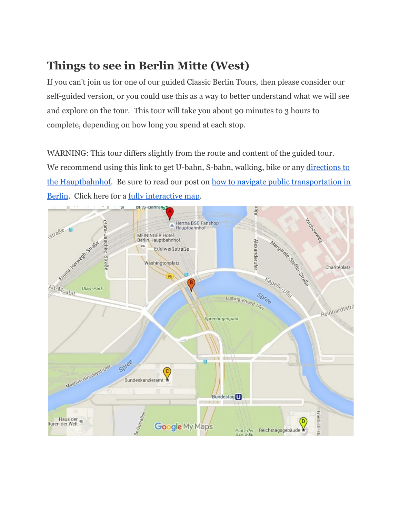# **Things to see in Berlin Mitte (West)**

If you can't join us for one of our guided Classic Berlin Tours, then please consider our self-guided version, or you could use this as a way to better understand what we will see and explore on the tour. This tour will take you about 90 minutes to 3 hours to complete, depending on how long you spend at each stop.

WARNING: This tour differs slightly from the route and content of the guided tour. We recommend using this link to get U-bahn, S-bahn, walking, bike or any [directions](https://www.google.com/maps/place/Berlin+Central+Station/@52.5250839,13.369402,15z/data=!4m2!3m1!1s0x0:0x7a3c781495bcfcaa) to the [Hauptbahnhof.](https://www.google.com/maps/place/Berlin+Central+Station/@52.5250839,13.369402,15z/data=!4m2!3m1!1s0x0:0x7a3c781495bcfcaa) Be sure to read our post on how to navigate public [transportation](http://www.freetoursbyfoot.com/navigate-berlin-public-transport/) in [Berlin.](http://www.freetoursbyfoot.com/navigate-berlin-public-transport/) Click here for a <u>fully [interactive](https://www.google.com/maps/d/u/0/edit?mid=zApbLGGxojZs.kGDk2q4uUuRE) map</u>.

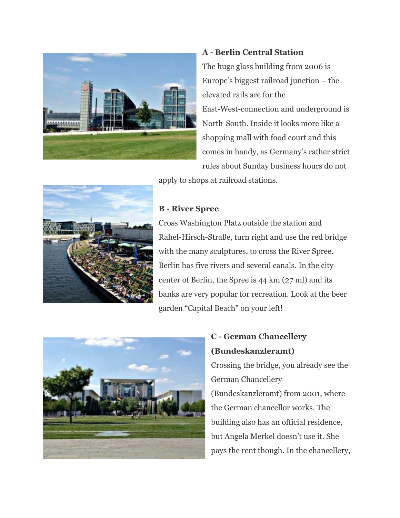

#### **A -Berlin Central Station**

The huge glass building from 2006 is Europe's biggest railroad junction – the elevated rails are for the East-West-connection and underground is North-South. Inside it looks more like a shopping mall with food court and this comes in handy, as Germany's rather strict rules about Sunday business hours do not

apply to shops at railroad stations.



#### **B - River Spree**

Cross Washington Platz outside the station and Rahel-Hirsch-Straße, turn right and use the red bridge with the many sculptures, to cross the River Spree. Berlin has five rivers and several canals. In the city center of Berlin, the Spree is 44 km (27 ml) and its banks are very popular for recreation. Look at the beer garden "Capital Beach" on your left!



### **C - German Chancellery (Bundeskanzleramt)**

Crossing the bridge, you already see the German Chancellery (Bundeskanzleramt) from 2001, where the German chancellor works. The building also has an official residence, but Angela Merkel doesn't use it. She pays the rent though. In the chancellery,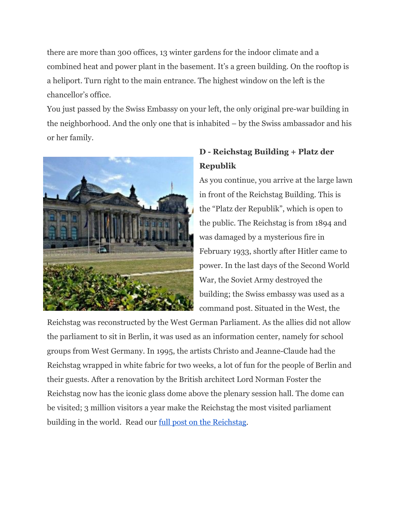there are more than 300 offices, 13 winter gardens for the indoor climate and a combined heat and power plant in the basement. It's a green building. On the rooftop is a heliport. Turn right to the main entrance. The highest window on the left is the chancellor's office.

You just passed by the Swiss Embassy on your left, the only original pre-war building in the neighborhood. And the only one that is inhabited – by the Swiss ambassador and his or her family.



## **D - Reichstag Building + Platz der Republik**

As you continue, you arrive at the large lawn in front of the Reichstag Building. This is the "Platz der Republik", which is open to the public. The Reichstag is from 1894 and was damaged by a mysterious fire in February 1933, shortly after Hitler came to power. In the last days of the Second World War, the Soviet Army destroyed the building; the Swiss embassy was used as a command post. Situated in the West, the

Reichstag was reconstructed by the West German Parliament. As the allies did not allow the parliament to sit in Berlin, it was used as an information center, namely for school groups from West Germany. In 1995, the artists Christo and Jeanne-Claude had the Reichstag wrapped in white fabric for two weeks, a lot of fun for the people of Berlin and their guests. After a renovation by the British architect Lord Norman Foster the Reichstag now has the iconic glass dome above the plenary session hall. The dome can be visited; 3 million visitors a year make the Reichstag the most visited parliament building in the world. Read our full post on the [Reichstag.](http://www.freetoursbyfoot.com/visit-reichstag-dome/)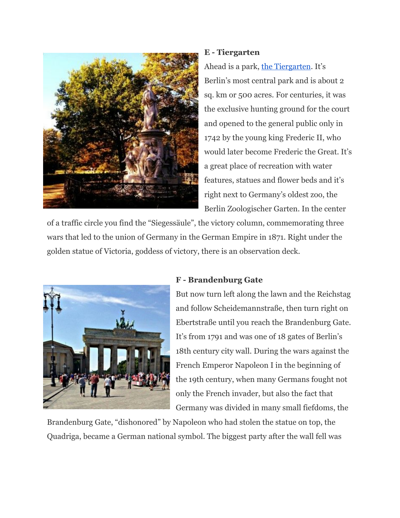

#### **E - Tiergarten**

Ahead is a park, the [Tiergarten.](http://www.freetoursbyfoot.com/tiergarten/) It's Berlin's most central park and is about 2 sq. km or 500 acres. For centuries, it was the exclusive hunting ground for the court and opened to the general public only in 1742 by the young king Frederic II, who would later become Frederic the Great. It's a great place of recreation with water features, statues and flower beds and it's right next to Germany's oldest zoo, the Berlin Zoologischer Garten. In the center

of a traffic circle you find the "Siegessäule", the victory column, commemorating three wars that led to the union of Germany in the German Empire in 1871. Right under the golden statue of Victoria, goddess of victory, there is an observation deck.



#### **F - Brandenburg Gate**

But now turn left along the lawn and the Reichstag and follow Scheidemannstraße, then turn right on Ebertstraße until you reach the Brandenburg Gate. It's from 1791 and was one of 18 gates of Berlin's 18th century city wall. During the wars against the French Emperor Napoleon I in the beginning of the 19th century, when many Germans fought not only the French invader, but also the fact that Germany was divided in many small fiefdoms, the

Brandenburg Gate, "dishonored" by Napoleon who had stolen the statue on top, the Quadriga, became a German national symbol. The biggest party after the wall fell was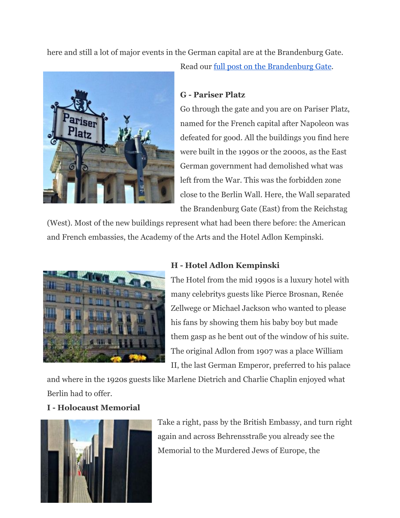here and still a lot of major events in the German capital are at the Brandenburg Gate.



#### **G - Pariser Platz**

Go through the gate and you are on Pariser Platz, named for the French capital after Napoleon was defeated for good. All the buildings you find here were built in the 1990s or the 2000s, as the East German government had demolished what was left from the War. This was the forbidden zone close to the Berlin Wall. Here, the Wall separated the Brandenburg Gate (East) from the Reichstag

(West). Most of the new buildings represent what had been there before: the American and French embassies, the Academy of the Arts and the Hotel Adlon Kempinski.



#### **H - Hotel Adlon Kempinski**

The Hotel from the mid 1990s is a luxury hotel with many celebritys guests like Pierce Brosnan, Renée Zellwege or Michael Jackson who wanted to please his fans by showing them his baby boy but made them gasp as he bent out of the window of his suite. The original Adlon from 1907 was a place William II, the last German Emperor, preferred to his palace

and where in the 1920s guests like Marlene Dietrich and Charlie Chaplin enjoyed what Berlin had to offer.

#### **I - Holocaust Memorial**



Take a right, pass by the British Embassy, and turn right again and across Behrensstraße you already see the Memorial to the Murdered Jews of Europe, the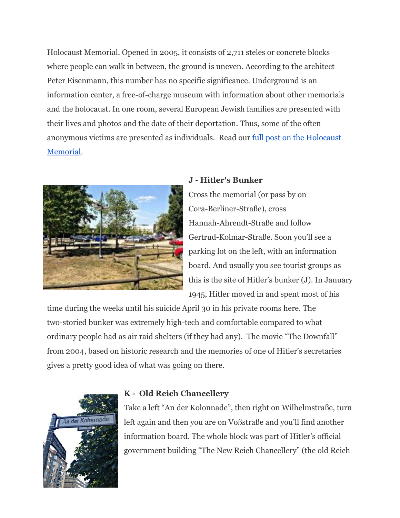Holocaust Memorial. Opened in 2005, it consists of 2,711 steles or concrete blocks where people can walk in between, the ground is uneven. According to the architect Peter Eisenmann, this number has no specific significance. Underground is an information center, a free-of-charge museum with information about other memorials and the holocaust. In one room, several European Jewish families are presented with their lives and photos and the date of their deportation. Thus, some of the often anonymous victims are presented as individuals. Read our full post on the [Holocaust](http://www.freetoursbyfoot.com/holocaust-memorial-berlin/) [Memorial.](http://www.freetoursbyfoot.com/holocaust-memorial-berlin/)



#### **J - Hitler's Bunker**

Cross the memorial (or pass by on Cora-Berliner-Straße), cross Hannah-Ahrendt-Straße and follow Gertrud-Kolmar-Straße. Soon you'll see a parking lot on the left, with an information board. And usually you see tourist groups as this is the site of Hitler's bunker (J). In January 1945, Hitler moved in and spent most of his

time during the weeks until his suicide April 30 in his private rooms here. The two-storied bunker was extremely high-tech and comfortable compared to what ordinary people had as air raid shelters (if they had any). The movie "The Downfall" from 2004, based on historic research and the memories of one of Hitler's secretaries gives a pretty good idea of what was going on there.



#### **K - Old Reich Chancellery**

Take a left "An der Kolonnade", then right on Wilhelmstraße, turn left again and then you are on Voßstraße and you'll find another information board. The whole block was part of Hitler's official government building "The New Reich Chancellery" (the old Reich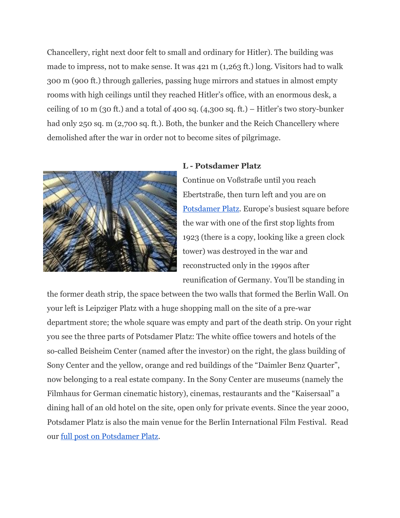Chancellery, right next door felt to small and ordinary for Hitler). The building was made to impress, not to make sense. It was 421 m (1,263 ft.) long. Visitors had to walk 300 m (900 ft.) through galleries, passing huge mirrors and statues in almost empty rooms with high ceilings until they reached Hitler's office, with an enormous desk, a ceiling of 10 m (30 ft.) and a total of 400 sq. (4,300 sq. ft.) – Hitler's two story-bunker had only 250 sq. m (2,700 sq. ft.). Both, the bunker and the Reich Chancellery where demolished after the war in order not to become sites of pilgrimage.



#### **L - Potsdamer Platz**

Continue on Voßstraße until you reach Ebertstraße, then turn left and you are on [Potsdamer](http://www.freetoursbyfoot.com/potsdamer-platz/) Platz. Europe's busiest square before the war with one of the first stop lights from 1923 (there is a copy, looking like a green clock tower) was destroyed in the war and reconstructed only in the 1990s after reunification of Germany. You'll be standing in

the former death strip, the space between the two walls that formed the Berlin Wall. On your left is Leipziger Platz with a huge shopping mall on the site of a pre-war department store; the whole square was empty and part of the death strip. On your right you see the three parts of Potsdamer Platz: The white office towers and hotels of the so-called Beisheim Center (named after the investor) on the right, the glass building of Sony Center and the yellow, orange and red buildings of the "Daimler Benz Quarter", now belonging to a real estate company. In the Sony Center are museums (namely the Filmhaus for German cinematic history), cinemas, restaurants and the "Kaisersaal" a dining hall of an old hotel on the site, open only for private events. Since the year 2000, Potsdamer Platz is also the main venue for the Berlin International Film Festival. Read our full post on [Potsdamer](http://www.freetoursbyfoot.com/potsdamer-platz/) Platz.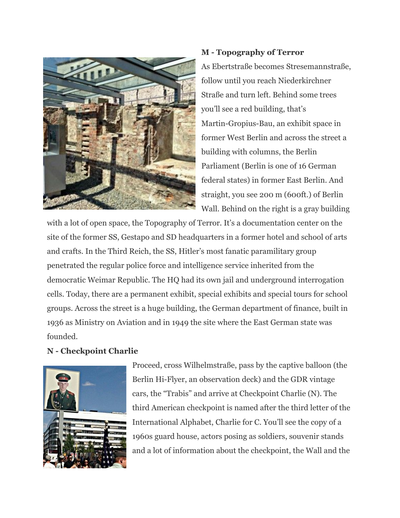

#### **M - Topography of Terror**

As Ebertstraße becomes Stresemannstraße, follow until you reach Niederkirchner Straße and turn left. Behind some trees you'll see a red building, that's Martin-Gropius-Bau, an exhibit space in former West Berlin and across the street a building with columns, the Berlin Parliament (Berlin is one of 16 German federal states) in former East Berlin. And straight, you see 200 m (600ft.) of Berlin Wall. Behind on the right is a gray building

with a lot of open space, the Topography of Terror. It's a documentation center on the site of the former SS, Gestapo and SD headquarters in a former hotel and school of arts and crafts. In the Third Reich, the SS, Hitler's most fanatic paramilitary group penetrated the regular police force and intelligence service inherited from the democratic Weimar Republic. The HQ had its own jail and underground interrogation cells. Today, there are a permanent exhibit, special exhibits and special tours for school groups. Across the street is a huge building, the German department of finance, built in 1936 as Ministry on Aviation and in 1949 the site where the East German state was founded.

#### **N - Checkpoint Charlie**



Proceed, cross Wilhelmstraße, pass by the captive balloon (the Berlin Hi-Flyer, an observation deck) and the GDR vintage cars, the "Trabis" and arrive at Checkpoint Charlie (N). The third American checkpoint is named after the third letter of the International Alphabet, Charlie for C. You'll see the copy of a 1960s guard house, actors posing as soldiers, souvenir stands and a lot of information about the checkpoint, the Wall and the